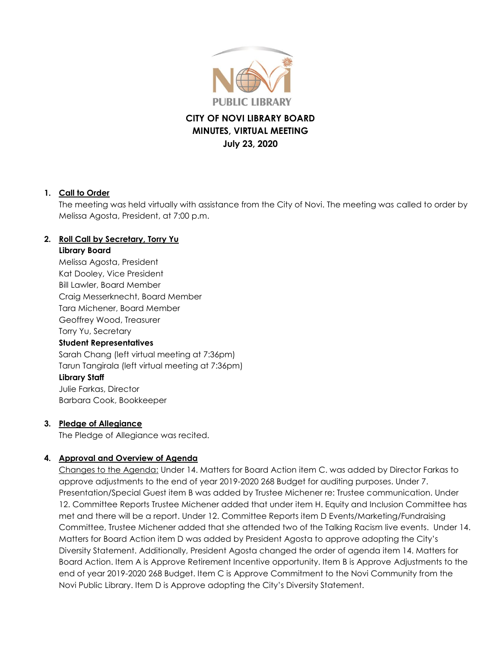

# **CITY OF NOVI LIBRARY BOARD MINUTES, VIRTUAL MEETING July 23, 2020**

## **1. Call to Order**

The meeting was held virtually with assistance from the City of Novi. The meeting was called to order by Melissa Agosta, President, at 7:00 p.m.

## **2. Roll Call by Secretary, Torry Yu**

#### **Library Board**

Melissa Agosta, President Kat Dooley, Vice President Bill Lawler, Board Member Craig Messerknecht, Board Member Tara Michener, Board Member Geoffrey Wood, Treasurer Torry Yu, Secretary **Student Representatives** Sarah Chang (left virtual meeting at 7:36pm) Tarun Tangirala (left virtual meeting at 7:36pm) **Library Staff**

Julie Farkas, Director Barbara Cook, Bookkeeper

## **3. Pledge of Allegiance**

The Pledge of Allegiance was recited.

## **4. Approval and Overview of Agenda**

Changes to the Agenda: Under 14. Matters for Board Action item C. was added by Director Farkas to approve adjustments to the end of year 2019-2020 268 Budget for auditing purposes. Under 7. Presentation/Special Guest item B was added by Trustee Michener re: Trustee communication. Under 12. Committee Reports Trustee Michener added that under item H. Equity and Inclusion Committee has met and there will be a report. Under 12. Committee Reports item D Events/Marketing/Fundraising Committee, Trustee Michener added that she attended two of the Talking Racism live events. Under 14. Matters for Board Action item D was added by President Agosta to approve adopting the City's Diversity Statement. Additionally, President Agosta changed the order of agenda item 14. Matters for Board Action. Item A is Approve Retirement Incentive opportunity. Item B is Approve Adjustments to the end of year 2019-2020 268 Budget. Item C is Approve Commitment to the Novi Community from the Novi Public Library. Item D is Approve adopting the City's Diversity Statement.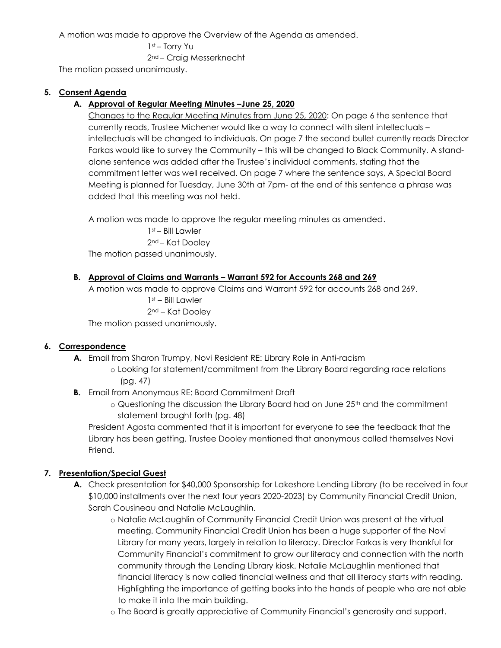A motion was made to approve the Overview of the Agenda as amended.

```
1st – Torry Yu
```
2nd – Craig Messerknecht

The motion passed unanimously.

## **5. Consent Agenda**

## **A. Approval of Regular Meeting Minutes –June 25, 2020**

Changes to the Regular Meeting Minutes from June 25, 2020: On page 6 the sentence that currently reads, Trustee Michener would like a way to connect with silent intellectuals – intellectuals will be changed to individuals. On page 7 the second bullet currently reads Director Farkas would like to survey the Community – this will be changed to Black Community. A standalone sentence was added after the Trustee's individual comments, stating that the commitment letter was well received. On page 7 where the sentence says, A Special Board Meeting is planned for Tuesday, June 30th at 7pm- at the end of this sentence a phrase was added that this meeting was not held.

A motion was made to approve the regular meeting minutes as amended.

1st – Bill Lawler 2nd – Kat Dooley The motion passed unanimously.

## **B. Approval of Claims and Warrants – Warrant 592 for Accounts 268 and 269**

A motion was made to approve Claims and Warrant 592 for accounts 268 and 269.

1st – Bill Lawler

2nd – Kat Dooley

The motion passed unanimously.

## **6. Correspondence**

**A.** Email from Sharon Trumpy, Novi Resident RE: Library Role in Anti-racism

o Looking for statement/commitment from the Library Board regarding race relations (pg. 47)

- **B.** Email from Anonymous RE: Board Commitment Draft
	- $\circ$  Questioning the discussion the Library Board had on June 25<sup>th</sup> and the commitment statement brought forth (pg. 48)

President Agosta commented that it is important for everyone to see the feedback that the Library has been getting. Trustee Dooley mentioned that anonymous called themselves Novi Friend.

## **7. Presentation/Special Guest**

- **A.** Check presentation for \$40,000 Sponsorship for Lakeshore Lending Library (to be received in four \$10,000 installments over the next four years 2020-2023) by Community Financial Credit Union, Sarah Cousineau and Natalie McLaughlin.
	- o Natalie McLaughlin of Community Financial Credit Union was present at the virtual meeting. Community Financial Credit Union has been a huge supporter of the Novi Library for many years, largely in relation to literacy. Director Farkas is very thankful for Community Financial's commitment to grow our literacy and connection with the north community through the Lending Library kiosk. Natalie McLaughlin mentioned that financial literacy is now called financial wellness and that all literacy starts with reading. Highlighting the importance of getting books into the hands of people who are not able to make it into the main building.
	- o The Board is greatly appreciative of Community Financial's generosity and support.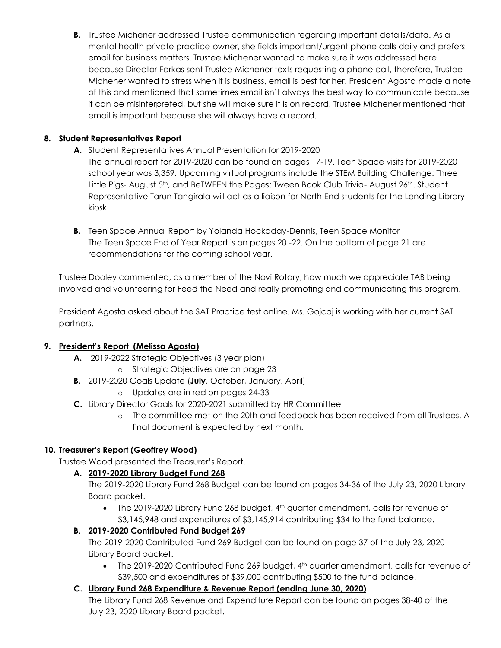**B.** Trustee Michener addressed Trustee communication regarding important details/data. As a mental health private practice owner, she fields important/urgent phone calls daily and prefers email for business matters. Trustee Michener wanted to make sure it was addressed here because Director Farkas sent Trustee Michener texts requesting a phone call, therefore, Trustee Michener wanted to stress when it is business, email is best for her. President Agosta made a note of this and mentioned that sometimes email isn't always the best way to communicate because it can be misinterpreted, but she will make sure it is on record. Trustee Michener mentioned that email is important because she will always have a record.

## **8. Student Representatives Report**

- **A.** Student Representatives Annual Presentation for 2019-2020
	- The annual report for 2019-2020 can be found on pages 17-19. Teen Space visits for 2019-2020 school year was 3,359. Upcoming virtual programs include the STEM Building Challenge: Three Little Pigs- August 5<sup>th</sup>, and BeTWEEN the Pages: Tween Book Club Trivia- August 26<sup>th</sup>. Student Representative Tarun Tangirala will act as a liaison for North End students for the Lending Library kiosk.
- **B.** Teen Space Annual Report by Yolanda Hockaday-Dennis, Teen Space Monitor The Teen Space End of Year Report is on pages 20 -22. On the bottom of page 21 are recommendations for the coming school year.

Trustee Dooley commented, as a member of the Novi Rotary, how much we appreciate TAB being involved and volunteering for Feed the Need and really promoting and communicating this program.

President Agosta asked about the SAT Practice test online. Ms. Gojcaj is working with her current SAT partners.

## **9. President's Report (Melissa Agosta)**

- **A.** 2019-2022 Strategic Objectives (3 year plan)
	- o Strategic Objectives are on page 23
- **B.** 2019-2020 Goals Update (**July**, October, January, April)
	- o Updates are in red on pages 24-33
- **C.** Library Director Goals for 2020-2021 submitted by HR Committee
	- o The committee met on the 20th and feedback has been received from all Trustees. A final document is expected by next month.

### **10. Treasurer's Report (Geoffrey Wood)**

Trustee Wood presented the Treasurer's Report.

### **A. 2019-2020 Library Budget Fund 268**

The 2019-2020 Library Fund 268 Budget can be found on pages 34-36 of the July 23, 2020 Library Board packet.

• The 2019-2020 Library Fund 268 budget, 4<sup>th</sup> quarter amendment, calls for revenue of \$3,145,948 and expenditures of \$3,145,914 contributing \$34 to the fund balance.

## **B. 2019-2020 Contributed Fund Budget 269**

The 2019-2020 Contributed Fund 269 Budget can be found on page 37 of the July 23, 2020 Library Board packet.

• The 2019-2020 Contributed Fund 269 budget,  $4<sup>th</sup>$  quarter amendment, calls for revenue of \$39,500 and expenditures of \$39,000 contributing \$500 to the fund balance.

## **C. Library Fund 268 Expenditure & Revenue Report (ending June 30, 2020)**

The Library Fund 268 Revenue and Expenditure Report can be found on pages 38-40 of the July 23, 2020 Library Board packet.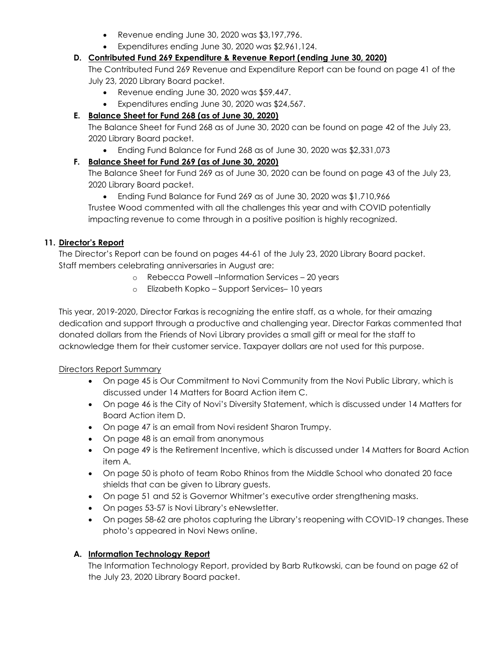- Revenue ending June 30, 2020 was \$3,197,796.
- Expenditures ending June 30, 2020 was \$2,961,124.

## **D. Contributed Fund 269 Expenditure & Revenue Report (ending June 30, 2020)**

The Contributed Fund 269 Revenue and Expenditure Report can be found on page 41 of the July 23, 2020 Library Board packet.

- Revenue ending June 30, 2020 was \$59,447.
- Expenditures ending June 30, 2020 was \$24,567.

# **E. Balance Sheet for Fund 268 (as of June 30, 2020)**

The Balance Sheet for Fund 268 as of June 30, 2020 can be found on page 42 of the July 23, 2020 Library Board packet.

Ending Fund Balance for Fund 268 as of June 30, 2020 was \$2,331,073

# **F. Balance Sheet for Fund 269 (as of June 30, 2020)**

The Balance Sheet for Fund 269 as of June 30, 2020 can be found on page 43 of the July 23, 2020 Library Board packet.

 Ending Fund Balance for Fund 269 as of June 30, 2020 was \$1,710,966 Trustee Wood commented with all the challenges this year and with COVID potentially impacting revenue to come through in a positive position is highly recognized.

# **11. Director's Report**

The Director's Report can be found on pages 44-61 of the July 23, 2020 Library Board packet. Staff members celebrating anniversaries in August are:

- o Rebecca Powell –Information Services 20 years
- o Elizabeth Kopko Support Services– 10 years

This year, 2019-2020, Director Farkas is recognizing the entire staff, as a whole, for their amazing dedication and support through a productive and challenging year. Director Farkas commented that donated dollars from the Friends of Novi Library provides a small gift or meal for the staff to acknowledge them for their customer service. Taxpayer dollars are not used for this purpose.

## Directors Report Summary

- On page 45 is Our Commitment to Novi Community from the Novi Public Library, which is discussed under 14 Matters for Board Action item C.
- On page 46 is the City of Novi's Diversity Statement, which is discussed under 14 Matters for Board Action item D.
- On page 47 is an email from Novi resident Sharon Trumpy.
- On page 48 is an email from anonymous
- On page 49 is the Retirement Incentive, which is discussed under 14 Matters for Board Action item A.
- On page 50 is photo of team Robo Rhinos from the Middle School who donated 20 face shields that can be given to Library guests.
- On page 51 and 52 is Governor Whitmer's executive order strengthening masks.
- On pages 53-57 is Novi Library's eNewsletter.
- On pages 58-62 are photos capturing the Library's reopening with COVID-19 changes. These photo's appeared in Novi News online.

## **A. Information Technology Report**

The Information Technology Report, provided by Barb Rutkowski, can be found on page 62 of the July 23, 2020 Library Board packet.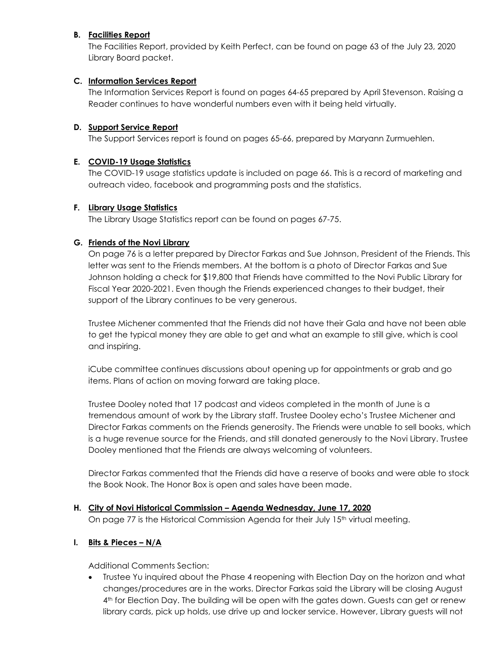### **B. Facilities Report**

The Facilities Report, provided by Keith Perfect, can be found on page 63 of the July 23, 2020 Library Board packet.

#### **C. Information Services Report**

The Information Services Report is found on pages 64-65 prepared by April Stevenson. Raising a Reader continues to have wonderful numbers even with it being held virtually.

#### **D. Support Service Report**

The Support Services report is found on pages 65-66, prepared by Maryann Zurmuehlen.

#### **E. COVID-19 Usage Statistics**

The COVID-19 usage statistics update is included on page 66. This is a record of marketing and outreach video, facebook and programming posts and the statistics.

#### **F. Library Usage Statistics**

The Library Usage Statistics report can be found on pages 67-75.

### **G. Friends of the Novi Library**

On page 76 is a letter prepared by Director Farkas and Sue Johnson, President of the Friends. This letter was sent to the Friends members. At the bottom is a photo of Director Farkas and Sue Johnson holding a check for \$19,800 that Friends have committed to the Novi Public Library for Fiscal Year 2020-2021. Even though the Friends experienced changes to their budget, their support of the Library continues to be very generous.

Trustee Michener commented that the Friends did not have their Gala and have not been able to get the typical money they are able to get and what an example to still give, which is cool and inspiring.

iCube committee continues discussions about opening up for appointments or grab and go items. Plans of action on moving forward are taking place.

Trustee Dooley noted that 17 podcast and videos completed in the month of June is a tremendous amount of work by the Library staff. Trustee Dooley echo's Trustee Michener and Director Farkas comments on the Friends generosity. The Friends were unable to sell books, which is a huge revenue source for the Friends, and still donated generously to the Novi Library. Trustee Dooley mentioned that the Friends are always welcoming of volunteers.

Director Farkas commented that the Friends did have a reserve of books and were able to stock the Book Nook. The Honor Box is open and sales have been made.

#### **H. City of Novi Historical Commission – Agenda Wednesday, June 17, 2020**

On page 77 is the Historical Commission Agenda for their July 15<sup>th</sup> virtual meeting.

#### **I. Bits & Pieces – N/A**

Additional Comments Section:

 Trustee Yu inquired about the Phase 4 reopening with Election Day on the horizon and what changes/procedures are in the works. Director Farkas said the Library will be closing August 4<sup>th</sup> for Election Day. The building will be open with the gates down. Guests can get or renew library cards, pick up holds, use drive up and locker service. However, Library guests will not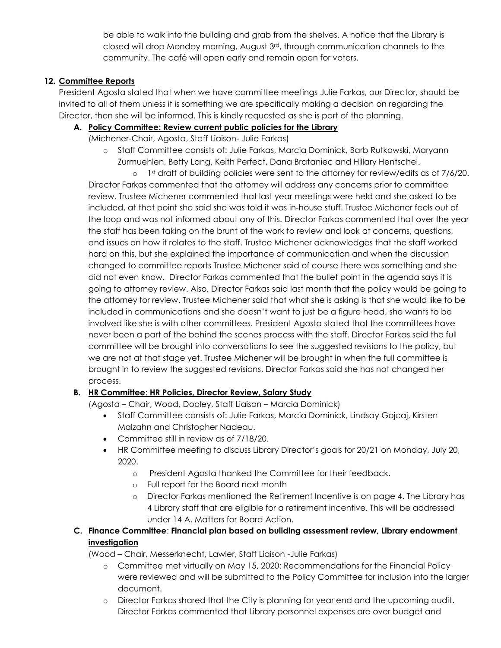be able to walk into the building and grab from the shelves. A notice that the Library is closed will drop Monday morning, August  $3<sup>rd</sup>$ , through communication channels to the community. The café will open early and remain open for voters.

## **12. Committee Reports**

President Agosta stated that when we have committee meetings Julie Farkas, our Director, should be invited to all of them unless it is something we are specifically making a decision on regarding the Director, then she will be informed. This is kindly requested as she is part of the planning.

### **A. Policy Committee: Review current public policies for the Library**

(Michener-Chair, Agosta, Staff Liaison- Julie Farkas)

o Staff Committee consists of: Julie Farkas, Marcia Dominick, Barb Rutkowski, Maryann Zurmuehlen, Betty Lang, Keith Perfect, Dana Brataniec and Hillary Hentschel.

o 1st draft of building policies were sent to the attorney for review/edits as of 7/6/20. Director Farkas commented that the attorney will address any concerns prior to committee review. Trustee Michener commented that last year meetings were held and she asked to be included, at that point she said she was told it was in-house stuff. Trustee Michener feels out of the loop and was not informed about any of this. Director Farkas commented that over the year the staff has been taking on the brunt of the work to review and look at concerns, questions, and issues on how it relates to the staff. Trustee Michener acknowledges that the staff worked hard on this, but she explained the importance of communication and when the discussion changed to committee reports Trustee Michener said of course there was something and she did not even know. Director Farkas commented that the bullet point in the agenda says it is going to attorney review. Also, Director Farkas said last month that the policy would be going to the attorney for review. Trustee Michener said that what she is asking is that she would like to be included in communications and she doesn't want to just be a figure head, she wants to be involved like she is with other committees. President Agosta stated that the committees have never been a part of the behind the scenes process with the staff. Director Farkas said the full committee will be brought into conversations to see the suggested revisions to the policy, but we are not at that stage yet. Trustee Michener will be brought in when the full committee is brought in to review the suggested revisions. Director Farkas said she has not changed her process.

## **B. HR Committee**: **HR Policies, Director Review, Salary Study**

(Agosta – Chair, Wood, Dooley, Staff Liaison – Marcia Dominick)

- Staff Committee consists of: Julie Farkas, Marcia Dominick, Lindsay Gojcaj, Kirsten Malzahn and Christopher Nadeau.
- Committee still in review as of 7/18/20.
- HR Committee meeting to discuss Library Director's goals for 20/21 on Monday, July 20, 2020.
	- o President Agosta thanked the Committee for their feedback.
	- o Full report for the Board next month
	- o Director Farkas mentioned the Retirement Incentive is on page 4. The Library has 4 Library staff that are eligible for a retirement incentive. This will be addressed under 14 A. Matters for Board Action.

## **C. Finance Committee**: **Financial plan based on building assessment review, Library endowment investigation**

(Wood – Chair, Messerknecht, Lawler, Staff Liaison -Julie Farkas)

- o Committee met virtually on May 15, 2020: Recommendations for the Financial Policy were reviewed and will be submitted to the Policy Committee for inclusion into the larger document.
- o Director Farkas shared that the City is planning for year end and the upcoming audit. Director Farkas commented that Library personnel expenses are over budget and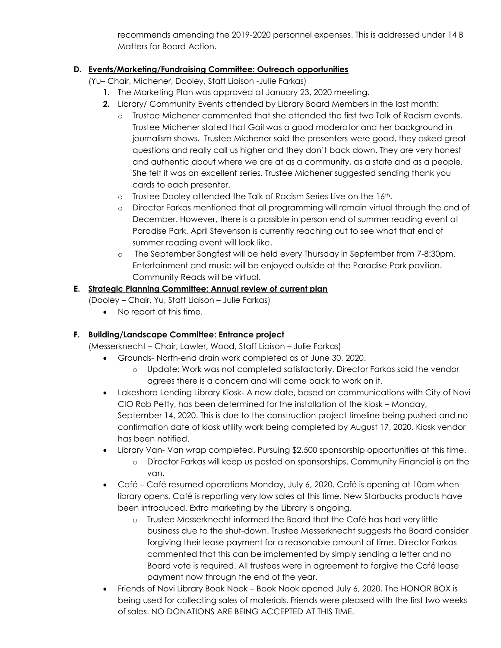recommends amending the 2019-2020 personnel expenses. This is addressed under 14 B Matters for Board Action.

## **D. Events/Marketing/Fundraising Committee: Outreach opportunities**

(Yu– Chair, Michener, Dooley, Staff Liaison -Julie Farkas)

- **1.** The Marketing Plan was approved at January 23, 2020 meeting.
- **2.** Library/ Community Events attended by Library Board Members in the last month:
	- o Trustee Michener commented that she attended the first two Talk of Racism events. Trustee Michener stated that Gail was a good moderator and her background in journalism shows. Trustee Michener said the presenters were good, they asked great questions and really call us higher and they don't back down. They are very honest and authentic about where we are at as a community, as a state and as a people. She felt it was an excellent series. Trustee Michener suggested sending thank you cards to each presenter.
	- $\circ$  Trustee Dooley attended the Talk of Racism Series Live on the 16<sup>th</sup>.
	- o Director Farkas mentioned that all programming will remain virtual through the end of December. However, there is a possible in person end of summer reading event at Paradise Park. April Stevenson is currently reaching out to see what that end of summer reading event will look like.
	- o The September Songfest will be held every Thursday in September from 7-8:30pm. Entertainment and music will be enjoyed outside at the Paradise Park pavilion. Community Reads will be virtual.

## **E. Strategic Planning Committee: Annual review of current plan**

(Dooley – Chair, Yu, Staff Liaison – Julie Farkas)

• No report at this time.

## **F. Building/Landscape Committee: Entrance project**

(Messerknecht – Chair, Lawler, Wood, Staff Liaison – Julie Farkas)

- Grounds- North-end drain work completed as of June 30, 2020.
	- o Update: Work was not completed satisfactorily. Director Farkas said the vendor agrees there is a concern and will come back to work on it.
- Lakeshore Lending Library Kiosk- A new date, based on communications with City of Novi CIO Rob Petty, has been determined for the installation of the kiosk – Monday, September 14, 2020. This is due to the construction project timeline being pushed and no confirmation date of kiosk utility work being completed by August 17, 2020. Kiosk vendor has been notified.
- Library Van- Van wrap completed. Pursuing \$2,500 sponsorship opportunities at this time.
	- o Director Farkas will keep us posted on sponsorships. Community Financial is on the van.
- Café Café resumed operations Monday, July 6, 2020. Café is opening at 10am when library opens, Café is reporting very low sales at this time. New Starbucks products have been introduced. Extra marketing by the Library is ongoing.
	- o Trustee Messerknecht informed the Board that the Café has had very little business due to the shut-down. Trustee Messerknecht suggests the Board consider forgiving their lease payment for a reasonable amount of time. Director Farkas commented that this can be implemented by simply sending a letter and no Board vote is required. All trustees were in agreement to forgive the Café lease payment now through the end of the year.
- Friends of Novi Library Book Nook Book Nook opened July 6, 2020. The HONOR BOX is being used for collecting sales of materials. Friends were pleased with the first two weeks of sales. NO DONATIONS ARE BEING ACCEPTED AT THIS TIME.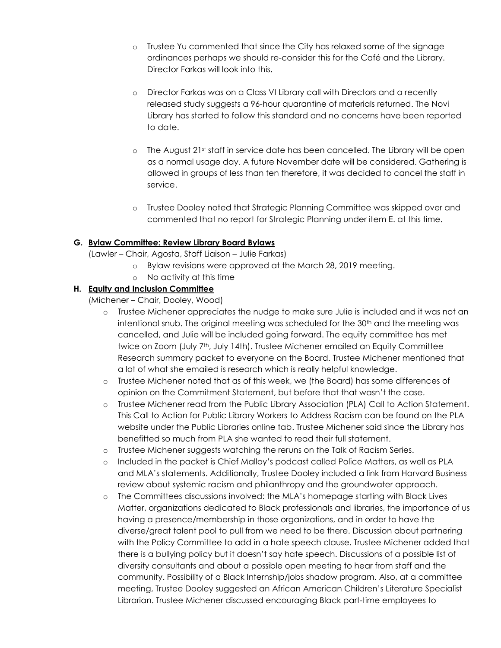- o Trustee Yu commented that since the City has relaxed some of the signage ordinances perhaps we should re-consider this for the Café and the Library. Director Farkas will look into this.
- o Director Farkas was on a Class VI Library call with Directors and a recently released study suggests a 96-hour quarantine of materials returned. The Novi Library has started to follow this standard and no concerns have been reported to date.
- $\circ$  The August 21st staff in service date has been cancelled. The Library will be open as a normal usage day. A future November date will be considered. Gathering is allowed in groups of less than ten therefore, it was decided to cancel the staff in service.
- o Trustee Dooley noted that Strategic Planning Committee was skipped over and commented that no report for Strategic Planning under item E. at this time.

### **G. Bylaw Committee: Review Library Board Bylaws**

(Lawler – Chair, Agosta, Staff Liaison – Julie Farkas)

- o Bylaw revisions were approved at the March 28, 2019 meeting.
- o No activity at this time

## **H. Equity and Inclusion Committee**

(Michener – Chair, Dooley, Wood)

- o Trustee Michener appreciates the nudge to make sure Julie is included and it was not an intentional snub. The original meeting was scheduled for the  $30<sup>th</sup>$  and the meeting was cancelled, and Julie will be included going forward. The equity committee has met twice on Zoom (July 7<sup>th</sup>, July 14th). Trustee Michener emailed an Equity Committee Research summary packet to everyone on the Board. Trustee Michener mentioned that a lot of what she emailed is research which is really helpful knowledge.
- o Trustee Michener noted that as of this week, we (the Board) has some differences of opinion on the Commitment Statement, but before that that wasn't the case.
- o Trustee Michener read from the Public Library Association (PLA) Call to Action Statement. This Call to Action for Public Library Workers to Address Racism can be found on the PLA website under the Public Libraries online tab. Trustee Michener said since the Library has benefitted so much from PLA she wanted to read their full statement.
- o Trustee Michener suggests watching the reruns on the Talk of Racism Series.
- o Included in the packet is Chief Malloy's podcast called Police Matters, as well as PLA and MLA's statements. Additionally, Trustee Dooley included a link from Harvard Business review about systemic racism and philanthropy and the groundwater approach.
- o The Committees discussions involved: the MLA's homepage starting with Black Lives Matter, organizations dedicated to Black professionals and libraries, the importance of us having a presence/membership in those organizations, and in order to have the diverse/great talent pool to pull from we need to be there. Discussion about partnering with the Policy Committee to add in a hate speech clause. Trustee Michener added that there is a bullying policy but it doesn't say hate speech. Discussions of a possible list of diversity consultants and about a possible open meeting to hear from staff and the community. Possibility of a Black Internship/jobs shadow program. Also, at a committee meeting, Trustee Dooley suggested an African American Children's Literature Specialist Librarian. Trustee Michener discussed encouraging Black part-time employees to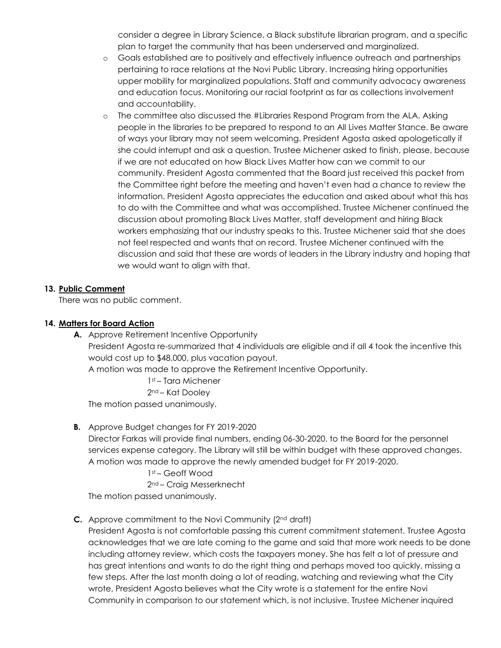consider a degree in Library Science, a Black substitute librarian program, and a specific plan to target the community that has been underserved and marginalized.

- o Goals established are to positively and effectively influence outreach and partnerships pertaining to race relations at the Novi Public Library. Increasing hiring opportunities upper mobility for marginalized populations. Staff and community advocacy awareness and education focus. Monitoring our racial footprint as far as collections involvement and accountability.
- o The committee also discussed the #Libraries Respond Program from the ALA. Asking people in the libraries to be prepared to respond to an All Lives Matter Stance. Be aware of ways your library may not seem welcoming. President Agosta asked apologetically if she could interrupt and ask a question. Trustee Michener asked to finish, please, because if we are not educated on how Black Lives Matter how can we commit to our community. President Agosta commented that the Board just received this packet from the Committee right before the meeting and haven't even had a chance to review the information. President Agosta appreciates the education and asked about what this has to do with the Committee and what was accomplished. Trustee Michener continued the discussion about promoting Black Lives Matter, staff development and hiring Black workers emphasizing that our industry speaks to this. Trustee Michener said that she does not feel respected and wants that on record. Trustee Michener continued with the discussion and said that these are words of leaders in the Library industry and hoping that we would want to align with that.

#### **13. Public Comment**

There was no public comment.

#### **14. Matters for Board Action**

**A.** Approve Retirement Incentive Opportunity President Agosta re-summarized that 4 individuals are eligible and if all 4 took the incentive this would cost up to \$48,000, plus vacation payout. A motion was made to approve the Retirement Incentive Opportunity. 1st – Tara Michener

2nd – Kat Dooley

The motion passed unanimously.

**B.** Approve Budget changes for FY 2019-2020

Director Farkas will provide final numbers, ending 06-30-2020, to the Board for the personnel services expense category. The Library will still be within budget with these approved changes. A motion was made to approve the newly amended budget for FY 2019-2020.

#### 1st – Geoff Wood

2nd – Craig Messerknecht

The motion passed unanimously.

### **C.** Approve commitment to the Novi Community (2<sup>nd</sup> draft)

President Agosta is not comfortable passing this current commitment statement. Trustee Agosta acknowledges that we are late coming to the game and said that more work needs to be done including attorney review, which costs the taxpayers money. She has felt a lot of pressure and has great intentions and wants to do the right thing and perhaps moved too quickly, missing a few steps. After the last month doing a lot of reading, watching and reviewing what the City wrote, President Agosta believes what the City wrote is a statement for the entire Novi Community in comparison to our statement which, is not inclusive. Trustee Michener inquired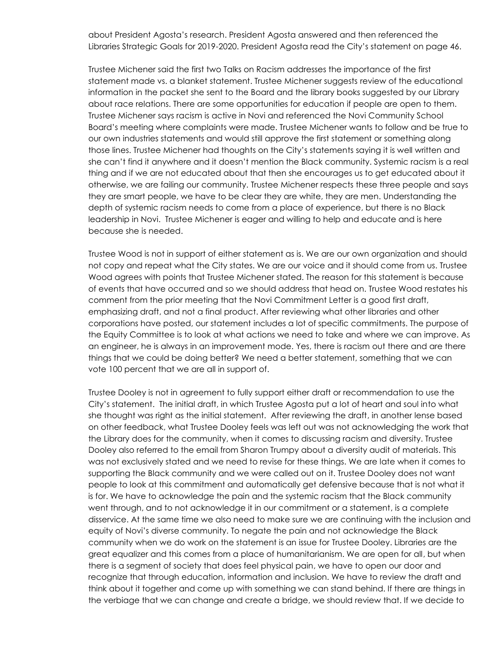about President Agosta's research. President Agosta answered and then referenced the Libraries Strategic Goals for 2019-2020. President Agosta read the City's statement on page 46.

Trustee Michener said the first two Talks on Racism addresses the importance of the first statement made vs. a blanket statement. Trustee Michener suggests review of the educational information in the packet she sent to the Board and the library books suggested by our Library about race relations. There are some opportunities for education if people are open to them. Trustee Michener says racism is active in Novi and referenced the Novi Community School Board's meeting where complaints were made. Trustee Michener wants to follow and be true to our own industries statements and would still approve the first statement or something along those lines. Trustee Michener had thoughts on the City's statements saying it is well written and she can't find it anywhere and it doesn't mention the Black community. Systemic racism is a real thing and if we are not educated about that then she encourages us to get educated about it otherwise, we are failing our community. Trustee Michener respects these three people and says they are smart people, we have to be clear they are white, they are men. Understanding the depth of systemic racism needs to come from a place of experience, but there is no Black leadership in Novi. Trustee Michener is eager and willing to help and educate and is here because she is needed.

Trustee Wood is not in support of either statement as is. We are our own organization and should not copy and repeat what the City states. We are our voice and it should come from us. Trustee Wood agrees with points that Trustee Michener stated. The reason for this statement is because of events that have occurred and so we should address that head on. Trustee Wood restates his comment from the prior meeting that the Novi Commitment Letter is a good first draft, emphasizing draft, and not a final product. After reviewing what other libraries and other corporations have posted, our statement includes a lot of specific commitments. The purpose of the Equity Committee is to look at what actions we need to take and where we can improve. As an engineer, he is always in an improvement mode. Yes, there is racism out there and are there things that we could be doing better? We need a better statement, something that we can vote 100 percent that we are all in support of.

Trustee Dooley is not in agreement to fully support either draft or recommendation to use the City's statement. The initial draft, in which Trustee Agosta put a lot of heart and soul into what she thought was right as the initial statement. After reviewing the draft, in another lense based on other feedback, what Trustee Dooley feels was left out was not acknowledging the work that the Library does for the community, when it comes to discussing racism and diversity. Trustee Dooley also referred to the email from Sharon Trumpy about a diversity audit of materials. This was not exclusively stated and we need to revise for these things. We are late when it comes to supporting the Black community and we were called out on it. Trustee Dooley does not want people to look at this commitment and automatically get defensive because that is not what it is for. We have to acknowledge the pain and the systemic racism that the Black community went through, and to not acknowledge it in our commitment or a statement, is a complete disservice. At the same time we also need to make sure we are continuing with the inclusion and equity of Novi's diverse community. To negate the pain and not acknowledge the Black community when we do work on the statement is an issue for Trustee Dooley. Libraries are the great equalizer and this comes from a place of humanitarianism. We are open for all, but when there is a segment of society that does feel physical pain, we have to open our door and recognize that through education, information and inclusion. We have to review the draft and think about it together and come up with something we can stand behind. If there are things in the verbiage that we can change and create a bridge, we should review that. If we decide to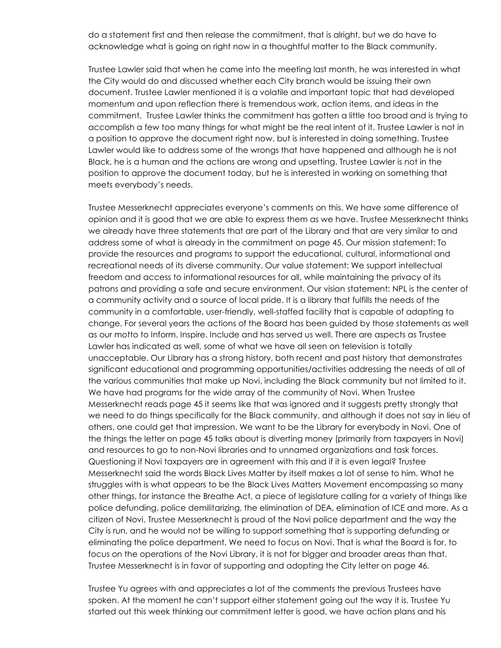do a statement first and then release the commitment, that is alright, but we do have to acknowledge what is going on right now in a thoughtful matter to the Black community.

Trustee Lawler said that when he came into the meeting last month, he was interested in what the City would do and discussed whether each City branch would be issuing their own document. Trustee Lawler mentioned it is a volatile and important topic that had developed momentum and upon reflection there is tremendous work, action items, and ideas in the commitment. Trustee Lawler thinks the commitment has gotten a little too broad and is trying to accomplish a few too many things for what might be the real intent of it. Trustee Lawler is not in a position to approve the document right now, but is interested in doing something. Trustee Lawler would like to address some of the wrongs that have happened and although he is not Black, he is a human and the actions are wrong and upsetting. Trustee Lawler is not in the position to approve the document today, but he is interested in working on something that meets everybody's needs.

Trustee Messerknecht appreciates everyone's comments on this. We have some difference of opinion and it is good that we are able to express them as we have. Trustee Messerknecht thinks we already have three statements that are part of the Library and that are very similar to and address some of what is already in the commitment on page 45. Our mission statement: To provide the resources and programs to support the educational, cultural, informational and recreational needs of its diverse community. Our value statement: We support intellectual freedom and access to informational resources for all, while maintaining the privacy of its patrons and providing a safe and secure environment. Our vision statement: NPL is the center of a community activity and a source of local pride. It is a library that fulfills the needs of the community in a comfortable, user-friendly, well-staffed facility that is capable of adapting to change. For several years the actions of the Board has been guided by those statements as well as our motto to Inform. Inspire. Include and has served us well. There are aspects as Trustee Lawler has indicated as well, some of what we have all seen on television is totally unacceptable. Our Library has a strong history, both recent and past history that demonstrates significant educational and programming opportunities/activities addressing the needs of all of the various communities that make up Novi, including the Black community but not limited to it. We have had programs for the wide array of the community of Novi. When Trustee Messerknecht reads page 45 it seems like that was ignored and it suggests pretty strongly that we need to do things specifically for the Black community, and although it does not say in lieu of others, one could get that impression. We want to be the Library for everybody in Novi. One of the things the letter on page 45 talks about is diverting money (primarily from taxpayers in Novi) and resources to go to non-Novi libraries and to unnamed organizations and task forces. Questioning if Novi taxpayers are in agreement with this and if it is even legal? Trustee Messerknecht said the words Black Lives Matter by itself makes a lot of sense to him. What he struggles with is what appears to be the Black Lives Matters Movement encompassing so many other things, for instance the Breathe Act, a piece of legislature calling for a variety of things like police defunding, police demilitarizing, the elimination of DEA, elimination of ICE and more. As a citizen of Novi, Trustee Messerknecht is proud of the Novi police department and the way the City is run, and he would not be willing to support something that is supporting defunding or eliminating the police department. We need to focus on Novi. That is what the Board is for, to focus on the operations of the Novi Library, it is not for bigger and broader areas than that. Trustee Messerknecht is in favor of supporting and adopting the City letter on page 46.

Trustee Yu agrees with and appreciates a lot of the comments the previous Trustees have spoken. At the moment he can't support either statement going out the way it is. Trustee Yu started out this week thinking our commitment letter is good, we have action plans and his